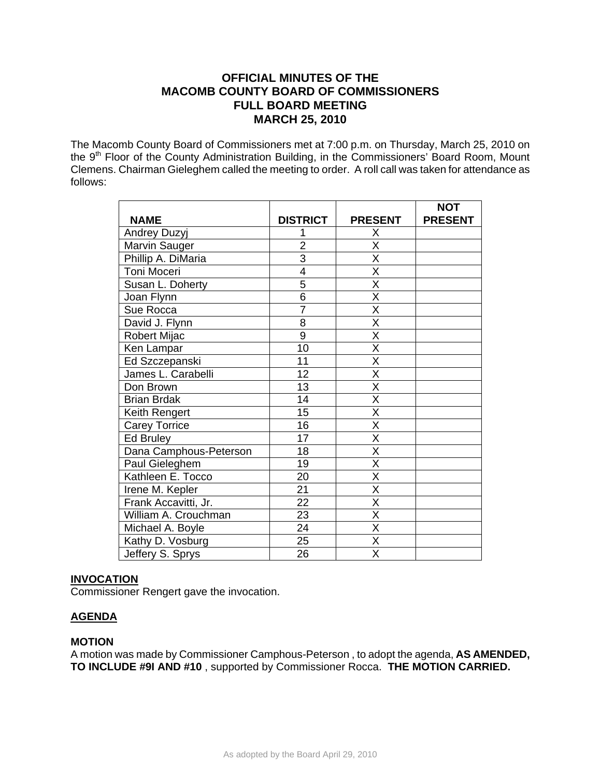# **OFFICIAL MINUTES OF THE MACOMB COUNTY BOARD OF COMMISSIONERS FULL BOARD MEETING MARCH 25, 2010**

The Macomb County Board of Commissioners met at 7:00 p.m. on Thursday, March 25, 2010 on the 9<sup>th</sup> Floor of the County Administration Building, in the Commissioners' Board Room, Mount Clemens. Chairman Gieleghem called the meeting to order. A roll call was taken for attendance as follows:

|                        |                 |                         | <b>NOT</b>     |
|------------------------|-----------------|-------------------------|----------------|
| <b>NAME</b>            | <b>DISTRICT</b> | <b>PRESENT</b>          | <b>PRESENT</b> |
| Andrey Duzyj           |                 | X                       |                |
| Marvin Sauger          | $\overline{2}$  | $\overline{\mathsf{x}}$ |                |
| Phillip A. DiMaria     | $\overline{3}$  | X                       |                |
| Toni Moceri            | 4               | $\overline{\mathsf{x}}$ |                |
| Susan L. Doherty       | 5               | X                       |                |
| Joan Flynn             | $\overline{6}$  | $\overline{\mathsf{x}}$ |                |
| Sue Rocca              | $\overline{7}$  | $\overline{\mathsf{x}}$ |                |
| David J. Flynn         | 8               | $\overline{\mathsf{X}}$ |                |
| Robert Mijac           | 9               | $\overline{\mathsf{x}}$ |                |
| Ken Lampar             | 10              | $\overline{\mathsf{x}}$ |                |
| Ed Szczepanski         | 11              | X                       |                |
| James L. Carabelli     | 12              | $\overline{\mathsf{x}}$ |                |
| Don Brown              | 13              | $\overline{\mathsf{x}}$ |                |
| <b>Brian Brdak</b>     | 14              | X                       |                |
| Keith Rengert          | 15              | $\overline{\mathsf{x}}$ |                |
| <b>Carey Torrice</b>   | 16              | X                       |                |
| Ed Bruley              | 17              | $\overline{\mathsf{x}}$ |                |
| Dana Camphous-Peterson | 18              | $\overline{\mathsf{x}}$ |                |
| Paul Gieleghem         | 19              | $\overline{\mathsf{x}}$ |                |
| Kathleen E. Tocco      | 20              | X                       |                |
| Irene M. Kepler        | 21              | X                       |                |
| Frank Accavitti, Jr.   | $\overline{22}$ | $\overline{\mathsf{x}}$ |                |
| William A. Crouchman   | 23              | X                       |                |
| Michael A. Boyle       | 24              | X                       |                |
| Kathy D. Vosburg       | 25              | $\overline{\sf x}$      |                |
| Jeffery S. Sprys       | 26              | $\overline{\mathsf{x}}$ |                |

### **INVOCATION**

Commissioner Rengert gave the invocation.

# **AGENDA**

# **MOTION**

A motion was made by Commissioner Camphous-Peterson , to adopt the agenda, **AS AMENDED, TO INCLUDE #9I AND #10** , supported by Commissioner Rocca. **THE MOTION CARRIED.**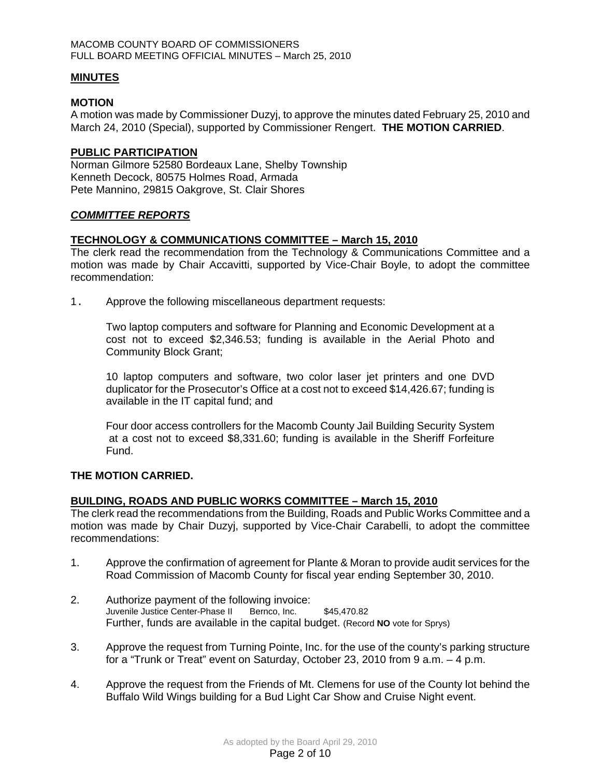### **MINUTES**

## **MOTION**

A motion was made by Commissioner Duzyj, to approve the minutes dated February 25, 2010 and March 24, 2010 (Special), supported by Commissioner Rengert. **THE MOTION CARRIED**.

## **PUBLIC PARTICIPATION**

Norman Gilmore 52580 Bordeaux Lane, Shelby Township Kenneth Decock, 80575 Holmes Road, Armada Pete Mannino, 29815 Oakgrove, St. Clair Shores

# *COMMITTEE REPORTS*

# **TECHNOLOGY & COMMUNICATIONS COMMITTEE – March 15, 2010**

The clerk read the recommendation from the Technology & Communications Committee and a motion was made by Chair Accavitti, supported by Vice-Chair Boyle, to adopt the committee recommendation:

1. Approve the following miscellaneous department requests:

Two laptop computers and software for Planning and Economic Development at a cost not to exceed \$2,346.53; funding is available in the Aerial Photo and Community Block Grant;

10 laptop computers and software, two color laser jet printers and one DVD duplicator for the Prosecutor's Office at a cost not to exceed \$14,426.67; funding is available in the IT capital fund; and

Four door access controllers for the Macomb County Jail Building Security System at a cost not to exceed \$8,331.60; funding is available in the Sheriff Forfeiture Fund.

# **THE MOTION CARRIED.**

### **BUILDING, ROADS AND PUBLIC WORKS COMMITTEE – March 15, 2010**

The clerk read the recommendations from the Building, Roads and Public Works Committee and a motion was made by Chair Duzyj, supported by Vice-Chair Carabelli, to adopt the committee recommendations:

- 1. Approve the confirmation of agreement for Plante & Moran to provide audit services for the Road Commission of Macomb County for fiscal year ending September 30, 2010.
- 2. Authorize payment of the following invoice: Juvenile Justice Center-Phase II Bernco, Inc. \$45,470.82 Further, funds are available in the capital budget. (Record **NO** vote for Sprys)
- 3. Approve the request from Turning Pointe, Inc. for the use of the county's parking structure for a "Trunk or Treat" event on Saturday, October 23, 2010 from 9 a.m. – 4 p.m.
- 4. Approve the request from the Friends of Mt. Clemens for use of the County lot behind the Buffalo Wild Wings building for a Bud Light Car Show and Cruise Night event.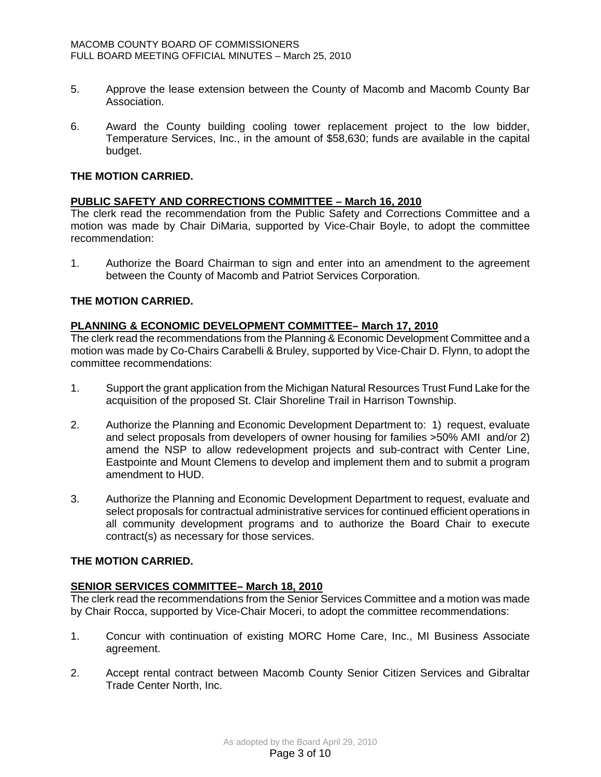- 5. Approve the lease extension between the County of Macomb and Macomb County Bar Association.
- 6. Award the County building cooling tower replacement project to the low bidder, Temperature Services, Inc., in the amount of \$58,630; funds are available in the capital budget.

# **THE MOTION CARRIED.**

# **PUBLIC SAFETY AND CORRECTIONS COMMITTEE – March 16, 2010**

The clerk read the recommendation from the Public Safety and Corrections Committee and a motion was made by Chair DiMaria, supported by Vice-Chair Boyle, to adopt the committee recommendation:

1. Authorize the Board Chairman to sign and enter into an amendment to the agreement between the County of Macomb and Patriot Services Corporation.

# **THE MOTION CARRIED.**

# **PLANNING & ECONOMIC DEVELOPMENT COMMITTEE– March 17, 2010**

The clerk read the recommendations from the Planning & Economic Development Committee and a motion was made by Co-Chairs Carabelli & Bruley, supported by Vice-Chair D. Flynn, to adopt the committee recommendations:

- 1. Support the grant application from the Michigan Natural Resources Trust Fund Lake for the acquisition of the proposed St. Clair Shoreline Trail in Harrison Township.
- 2. Authorize the Planning and Economic Development Department to: 1) request, evaluate and select proposals from developers of owner housing for families >50% AMI and/or 2) amend the NSP to allow redevelopment projects and sub-contract with Center Line, Eastpointe and Mount Clemens to develop and implement them and to submit a program amendment to HUD.
- 3. Authorize the Planning and Economic Development Department to request, evaluate and select proposals for contractual administrative services for continued efficient operations in all community development programs and to authorize the Board Chair to execute contract(s) as necessary for those services.

# **THE MOTION CARRIED.**

# **SENIOR SERVICES COMMITTEE– March 18, 2010**

The clerk read the recommendations from the Senior Services Committee and a motion was made by Chair Rocca, supported by Vice-Chair Moceri, to adopt the committee recommendations:

- 1. Concur with continuation of existing MORC Home Care, Inc., MI Business Associate agreement.
- 2. Accept rental contract between Macomb County Senior Citizen Services and Gibraltar Trade Center North, Inc.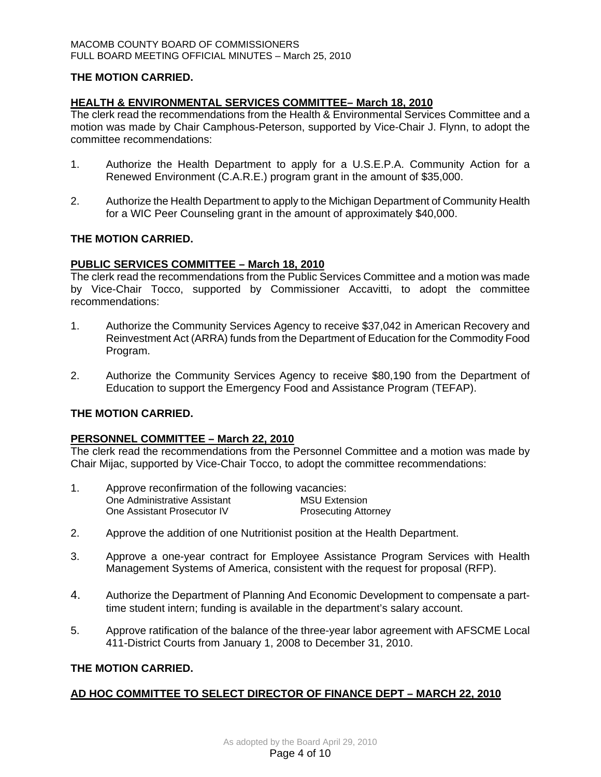# **THE MOTION CARRIED.**

## **HEALTH & ENVIRONMENTAL SERVICES COMMITTEE– March 18, 2010**

The clerk read the recommendations from the Health & Environmental Services Committee and a motion was made by Chair Camphous-Peterson, supported by Vice-Chair J. Flynn, to adopt the committee recommendations:

- 1. Authorize the Health Department to apply for a U.S.E.P.A. Community Action for a Renewed Environment (C.A.R.E.) program grant in the amount of \$35,000.
- 2. Authorize the Health Department to apply to the Michigan Department of Community Health for a WIC Peer Counseling grant in the amount of approximately \$40,000.

### **THE MOTION CARRIED.**

# **PUBLIC SERVICES COMMITTEE – March 18, 2010**

The clerk read the recommendations from the Public Services Committee and a motion was made by Vice-Chair Tocco, supported by Commissioner Accavitti, to adopt the committee recommendations:

- 1. Authorize the Community Services Agency to receive \$37,042 in American Recovery and Reinvestment Act (ARRA) funds from the Department of Education for the Commodity Food Program.
- 2. Authorize the Community Services Agency to receive \$80,190 from the Department of Education to support the Emergency Food and Assistance Program (TEFAP).

# **THE MOTION CARRIED.**

### **PERSONNEL COMMITTEE – March 22, 2010**

The clerk read the recommendations from the Personnel Committee and a motion was made by Chair Mijac, supported by Vice-Chair Tocco, to adopt the committee recommendations:

| Approve reconfirmation of the following vacancies: |                             |  |  |
|----------------------------------------------------|-----------------------------|--|--|
| One Administrative Assistant                       | <b>MSU Extension</b>        |  |  |
| One Assistant Prosecutor IV                        | <b>Prosecuting Attorney</b> |  |  |

- 2. Approve the addition of one Nutritionist position at the Health Department.
- 3. Approve a one-year contract for Employee Assistance Program Services with Health Management Systems of America, consistent with the request for proposal (RFP).
- 4. Authorize the Department of Planning And Economic Development to compensate a parttime student intern; funding is available in the department's salary account.
- 5. Approve ratification of the balance of the three-year labor agreement with AFSCME Local 411-District Courts from January 1, 2008 to December 31, 2010.

### **THE MOTION CARRIED.**

# **AD HOC COMMITTEE TO SELECT DIRECTOR OF FINANCE DEPT – MARCH 22, 2010**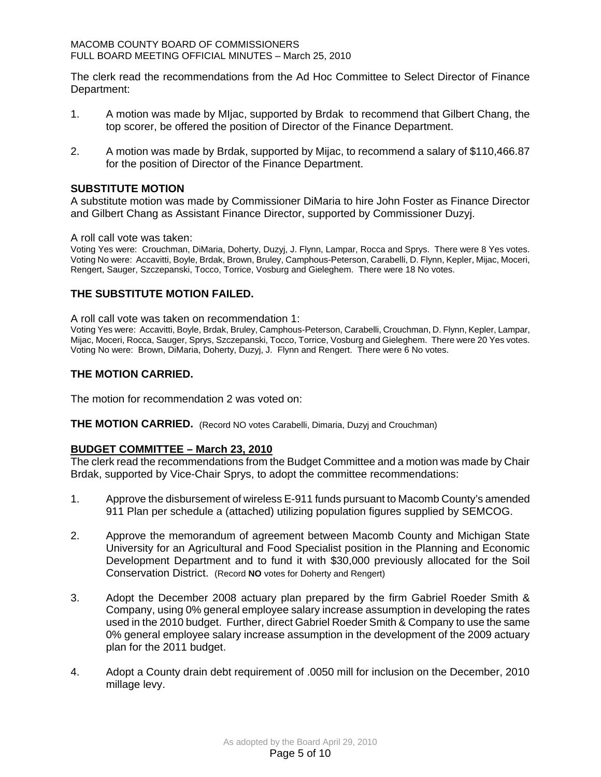The clerk read the recommendations from the Ad Hoc Committee to Select Director of Finance Department:

- 1. A motion was made by MIjac, supported by Brdak to recommend that Gilbert Chang, the top scorer, be offered the position of Director of the Finance Department.
- 2. A motion was made by Brdak, supported by Mijac, to recommend a salary of \$110,466.87 for the position of Director of the Finance Department.

# **SUBSTITUTE MOTION**

A substitute motion was made by Commissioner DiMaria to hire John Foster as Finance Director and Gilbert Chang as Assistant Finance Director, supported by Commissioner Duzyj.

#### A roll call vote was taken:

Voting Yes were: Crouchman, DiMaria, Doherty, Duzyj, J. Flynn, Lampar, Rocca and Sprys. There were 8 Yes votes. Voting No were: Accavitti, Boyle, Brdak, Brown, Bruley, Camphous-Peterson, Carabelli, D. Flynn, Kepler, Mijac, Moceri, Rengert, Sauger, Szczepanski, Tocco, Torrice, Vosburg and Gieleghem. There were 18 No votes.

### **THE SUBSTITUTE MOTION FAILED.**

A roll call vote was taken on recommendation 1:

Voting Yes were: Accavitti, Boyle, Brdak, Bruley, Camphous-Peterson, Carabelli, Crouchman, D. Flynn, Kepler, Lampar, Mijac, Moceri, Rocca, Sauger, Sprys, Szczepanski, Tocco, Torrice, Vosburg and Gieleghem. There were 20 Yes votes. Voting No were: Brown, DiMaria, Doherty, Duzyj, J. Flynn and Rengert. There were 6 No votes.

### **THE MOTION CARRIED.**

The motion for recommendation 2 was voted on:

**THE MOTION CARRIED.** (Record NO votes Carabelli, Dimaria, Duzyj and Crouchman)

### **BUDGET COMMITTEE – March 23, 2010**

The clerk read the recommendations from the Budget Committee and a motion was made by Chair Brdak, supported by Vice-Chair Sprys, to adopt the committee recommendations:

- 1. Approve the disbursement of wireless E-911 funds pursuant to Macomb County's amended 911 Plan per schedule a (attached) utilizing population figures supplied by SEMCOG.
- 2. Approve the memorandum of agreement between Macomb County and Michigan State University for an Agricultural and Food Specialist position in the Planning and Economic Development Department and to fund it with \$30,000 previously allocated for the Soil Conservation District. (Record **NO** votes for Doherty and Rengert)
- 3. Adopt the December 2008 actuary plan prepared by the firm Gabriel Roeder Smith & Company, using 0% general employee salary increase assumption in developing the rates used in the 2010 budget. Further, direct Gabriel Roeder Smith & Company to use the same 0% general employee salary increase assumption in the development of the 2009 actuary plan for the 2011 budget.
- 4. Adopt a County drain debt requirement of .0050 mill for inclusion on the December, 2010 millage levy.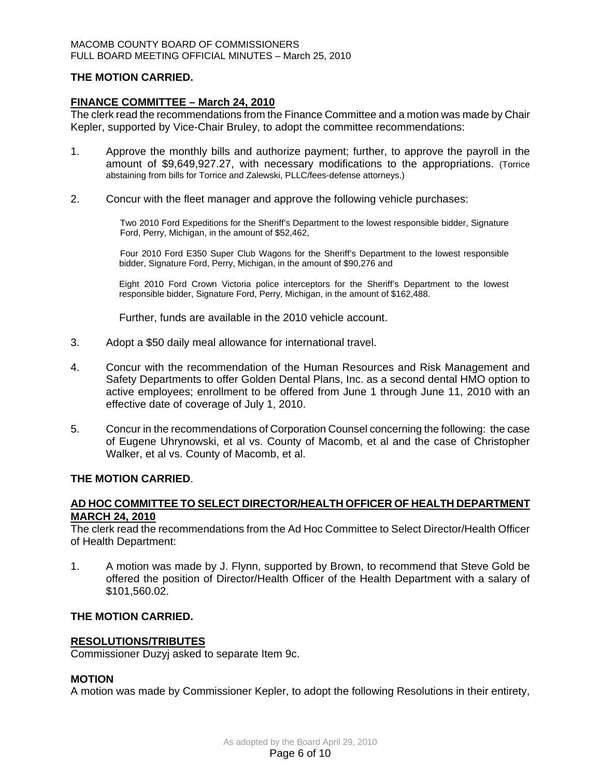# **THE MOTION CARRIED.**

# **FINANCE COMMITTEE – March 24, 2010**

The clerk read the recommendations from the Finance Committee and a motion was made by Chair Kepler, supported by Vice-Chair Bruley, to adopt the committee recommendations:

- 1. Approve the monthly bills and authorize payment; further, to approve the payroll in the amount of \$9,649,927.27, with necessary modifications to the appropriations. (Torrice abstaining from bills for Torrice and Zalewski, PLLC/fees-defense attorneys.)
- 2. Concur with the fleet manager and approve the following vehicle purchases:

Two 2010 Ford Expeditions for the Sheriff's Department to the lowest responsible bidder, Signature Ford, Perry, Michigan, in the amount of \$52,462,

Four 2010 Ford E350 Super Club Wagons for the Sheriff's Department to the lowest responsible bidder, Signature Ford, Perry, Michigan, in the amount of \$90,276 and

Eight 2010 Ford Crown Victoria police interceptors for the Sheriff's Department to the lowest responsible bidder, Signature Ford, Perry, Michigan, in the amount of \$162,488.

Further, funds are available in the 2010 vehicle account.

- 3. Adopt a \$50 daily meal allowance for international travel.
- 4. Concur with the recommendation of the Human Resources and Risk Management and Safety Departments to offer Golden Dental Plans, Inc. as a second dental HMO option to active employees; enrollment to be offered from June 1 through June 11, 2010 with an effective date of coverage of July 1, 2010.
- 5. Concur in the recommendations of Corporation Counsel concerning the following: the case of Eugene Uhrynowski, et al vs. County of Macomb, et al and the case of Christopher Walker, et al vs. County of Macomb, et al.

### **THE MOTION CARRIED**.

# **AD HOC COMMITTEE TO SELECT DIRECTOR/HEALTH OFFICER OF HEALTH DEPARTMENT MARCH 24, 2010**

The clerk read the recommendations from the Ad Hoc Committee to Select Director/Health Officer of Health Department:

1. A motion was made by J. Flynn, supported by Brown, to recommend that Steve Gold be offered the position of Director/Health Officer of the Health Department with a salary of \$101,560.02.

### **THE MOTION CARRIED.**

### **RESOLUTIONS/TRIBUTES**

Commissioner Duzyj asked to separate Item 9c.

### **MOTION**

A motion was made by Commissioner Kepler, to adopt the following Resolutions in their entirety,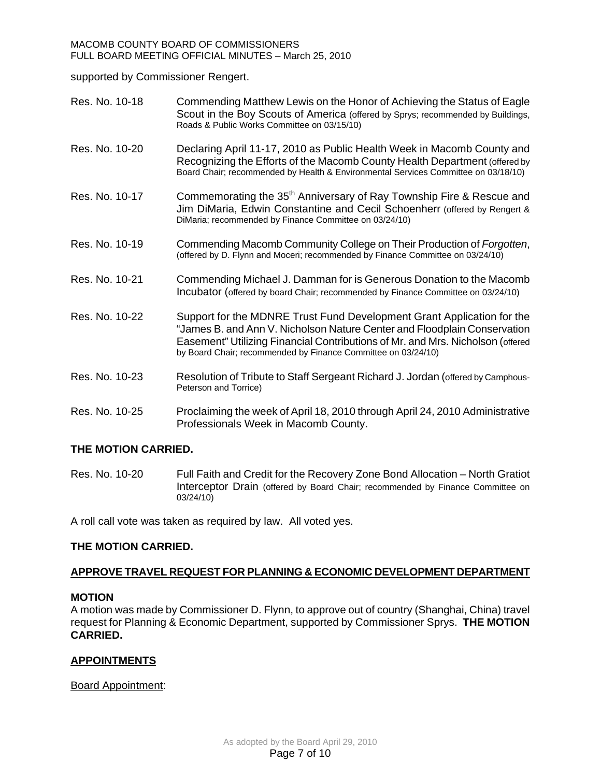supported by Commissioner Rengert.

| Res. No. 10-18 | Commending Matthew Lewis on the Honor of Achieving the Status of Eagle<br>Scout in the Boy Scouts of America (offered by Sprys; recommended by Buildings,<br>Roads & Public Works Committee on 03/15/10)                                                                                              |
|----------------|-------------------------------------------------------------------------------------------------------------------------------------------------------------------------------------------------------------------------------------------------------------------------------------------------------|
| Res. No. 10-20 | Declaring April 11-17, 2010 as Public Health Week in Macomb County and<br>Recognizing the Efforts of the Macomb County Health Department (offered by<br>Board Chair; recommended by Health & Environmental Services Committee on 03/18/10)                                                            |
| Res. No. 10-17 | Commemorating the 35 <sup>th</sup> Anniversary of Ray Township Fire & Rescue and<br>Jim DiMaria, Edwin Constantine and Cecil Schoenherr (offered by Rengert &<br>DiMaria; recommended by Finance Committee on 03/24/10)                                                                               |
| Res. No. 10-19 | Commending Macomb Community College on Their Production of Forgotten,<br>(offered by D. Flynn and Moceri; recommended by Finance Committee on 03/24/10)                                                                                                                                               |
| Res. No. 10-21 | Commending Michael J. Damman for is Generous Donation to the Macomb<br>Incubator (offered by board Chair; recommended by Finance Committee on 03/24/10)                                                                                                                                               |
| Res. No. 10-22 | Support for the MDNRE Trust Fund Development Grant Application for the<br>"James B. and Ann V. Nicholson Nature Center and Floodplain Conservation<br>Easement" Utilizing Financial Contributions of Mr. and Mrs. Nicholson (offered<br>by Board Chair; recommended by Finance Committee on 03/24/10) |
| Res. No. 10-23 | Resolution of Tribute to Staff Sergeant Richard J. Jordan (offered by Camphous-<br>Peterson and Torrice)                                                                                                                                                                                              |
| Res. No. 10-25 | Proclaiming the week of April 18, 2010 through April 24, 2010 Administrative<br>Professionals Week in Macomb County.                                                                                                                                                                                  |

# **THE MOTION CARRIED.**

Res. No. 10-20 Full Faith and Credit for the Recovery Zone Bond Allocation – North Gratiot Interceptor Drain (offered by Board Chair; recommended by Finance Committee on 03/24/10)

A roll call vote was taken as required by law. All voted yes.

# **THE MOTION CARRIED.**

# **APPROVE TRAVEL REQUEST FOR PLANNING & ECONOMIC DEVELOPMENT DEPARTMENT**

### **MOTION**

A motion was made by Commissioner D. Flynn, to approve out of country (Shanghai, China) travel request for Planning & Economic Department, supported by Commissioner Sprys. **THE MOTION CARRIED.** 

# **APPOINTMENTS**

Board Appointment: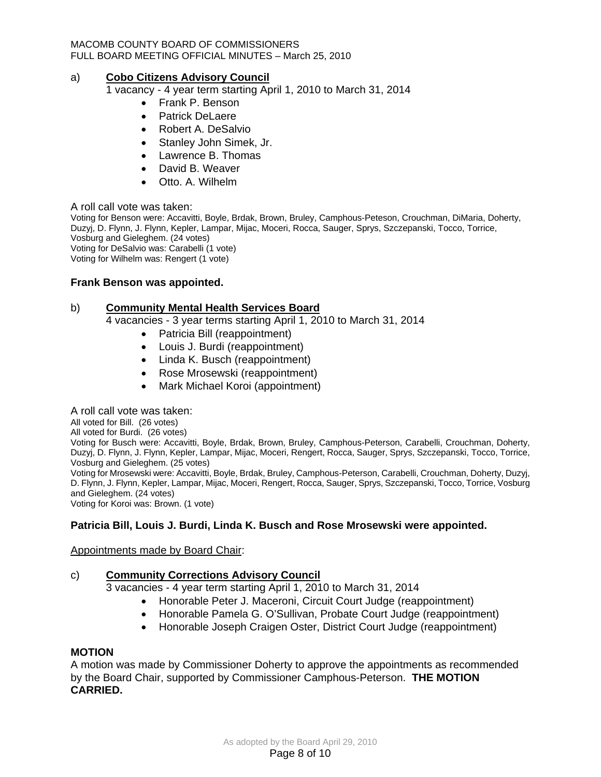### a) **Cobo Citizens Advisory Council**

1 vacancy - 4 year term starting April 1, 2010 to March 31, 2014

- Frank P. Benson
- Patrick DeLaere
- Robert A. DeSalvio
- Stanley John Simek, Jr.
- Lawrence B. Thomas
- David B. Weaver
- Otto. A. Wilhelm

#### A roll call vote was taken:

Voting for Benson were: Accavitti, Boyle, Brdak, Brown, Bruley, Camphous-Peteson, Crouchman, DiMaria, Doherty, Duzyj, D. Flynn, J. Flynn, Kepler, Lampar, Mijac, Moceri, Rocca, Sauger, Sprys, Szczepanski, Tocco, Torrice, Vosburg and Gieleghem. (24 votes) Voting for DeSalvio was: Carabelli (1 vote) Voting for Wilhelm was: Rengert (1 vote)

# **Frank Benson was appointed.**

#### b) **Community Mental Health Services Board**

4 vacancies - 3 year terms starting April 1, 2010 to March 31, 2014

- Patricia Bill (reappointment)
- Louis J. Burdi (reappointment)
- Linda K. Busch (reappointment)
- Rose Mrosewski (reappointment)
- Mark Michael Koroi (appointment)

#### A roll call vote was taken:

All voted for Bill. (26 votes)

All voted for Burdi. (26 votes)

Voting for Busch were: Accavitti, Boyle, Brdak, Brown, Bruley, Camphous-Peterson, Carabelli, Crouchman, Doherty, Duzyj, D. Flynn, J. Flynn, Kepler, Lampar, Mijac, Moceri, Rengert, Rocca, Sauger, Sprys, Szczepanski, Tocco, Torrice, Vosburg and Gieleghem. (25 votes)

Voting for Mrosewski were: Accavitti, Boyle, Brdak, Bruley, Camphous-Peterson, Carabelli, Crouchman, Doherty, Duzyj, D. Flynn, J. Flynn, Kepler, Lampar, Mijac, Moceri, Rengert, Rocca, Sauger, Sprys, Szczepanski, Tocco, Torrice, Vosburg and Gieleghem. (24 votes)

Voting for Koroi was: Brown. (1 vote)

# **Patricia Bill, Louis J. Burdi, Linda K. Busch and Rose Mrosewski were appointed.**

### Appointments made by Board Chair:

### c) **Community Corrections Advisory Council**

3 vacancies - 4 year term starting April 1, 2010 to March 31, 2014

- Honorable Peter J. Maceroni, Circuit Court Judge (reappointment)
- Honorable Pamela G. O'Sullivan, Probate Court Judge (reappointment)
- Honorable Joseph Craigen Oster, District Court Judge (reappointment)

### **MOTION**

A motion was made by Commissioner Doherty to approve the appointments as recommended by the Board Chair, supported by Commissioner Camphous-Peterson. **THE MOTION CARRIED.**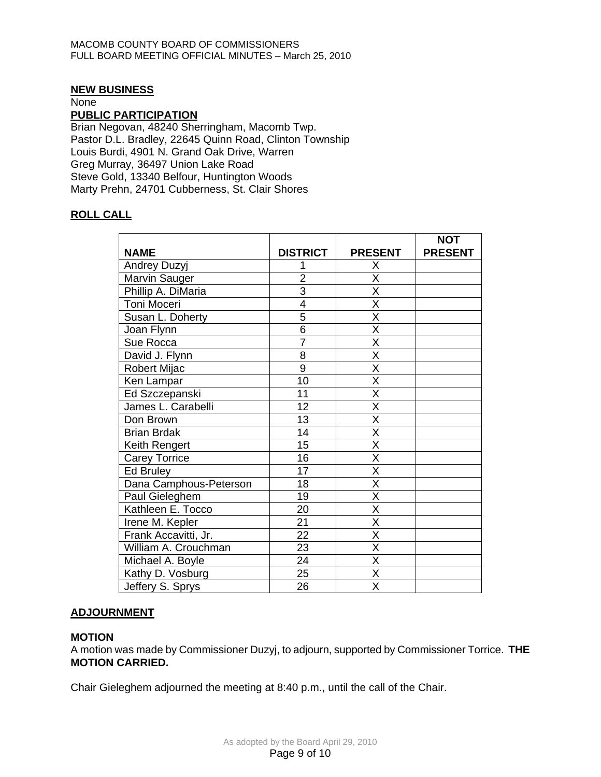### **NEW BUSINESS**

None

#### **PUBLIC PARTICIPATION**

Brian Negovan, 48240 Sherringham, Macomb Twp. Pastor D.L. Bradley, 22645 Quinn Road, Clinton Township Louis Burdi, 4901 N. Grand Oak Drive, Warren Greg Murray, 36497 Union Lake Road Steve Gold, 13340 Belfour, Huntington Woods Marty Prehn, 24701 Cubberness, St. Clair Shores

# **ROLL CALL**

|                        |                 |                         | <b>NOT</b>     |
|------------------------|-----------------|-------------------------|----------------|
| <b>NAME</b>            | <b>DISTRICT</b> | <b>PRESENT</b>          | <b>PRESENT</b> |
| <b>Andrey Duzyj</b>    |                 | Χ                       |                |
| Marvin Sauger          | $\overline{2}$  | X                       |                |
| Phillip A. DiMaria     | $\overline{3}$  | Χ                       |                |
| Toni Moceri            | $\overline{4}$  | $\overline{\mathsf{x}}$ |                |
| Susan L. Doherty       | 5               | $\overline{\mathsf{x}}$ |                |
| Joan Flynn             | 6               | X                       |                |
| Sue Rocca              | $\overline{7}$  | $\overline{\mathsf{x}}$ |                |
| David J. Flynn         | 8               | X                       |                |
| Robert Mijac           | $\overline{9}$  | $\overline{\mathsf{x}}$ |                |
| Ken Lampar             | 10              | $\overline{\mathsf{x}}$ |                |
| Ed Szczepanski         | 11              | X                       |                |
| James L. Carabelli     | 12              | $\overline{\mathsf{x}}$ |                |
| Don Brown              | 13              | $\overline{\mathsf{x}}$ |                |
| <b>Brian Brdak</b>     | 14              | X                       |                |
| Keith Rengert          | 15              | $\overline{\mathsf{x}}$ |                |
| <b>Carey Torrice</b>   | 16              | $\overline{\mathsf{x}}$ |                |
| <b>Ed Bruley</b>       | 17              | X                       |                |
| Dana Camphous-Peterson | 18              | $\overline{\mathsf{x}}$ |                |
| Paul Gieleghem         | 19              | $\overline{\mathsf{x}}$ |                |
| Kathleen E. Tocco      | 20              | X                       |                |
| Irene M. Kepler        | 21              | $\overline{\mathsf{x}}$ |                |
| Frank Accavitti, Jr.   | $\overline{22}$ | $\overline{\mathsf{x}}$ |                |
| William A. Crouchman   | 23              | X                       |                |
| Michael A. Boyle       | $\overline{24}$ | $\overline{\mathsf{x}}$ |                |
| Kathy D. Vosburg       | 25              | $\overline{\mathsf{x}}$ |                |
| Jeffery S. Sprys       | 26              | X                       |                |

# **ADJOURNMENT**

### **MOTION**

A motion was made by Commissioner Duzyj, to adjourn, supported by Commissioner Torrice. **THE MOTION CARRIED.** 

Chair Gieleghem adjourned the meeting at 8:40 p.m., until the call of the Chair.